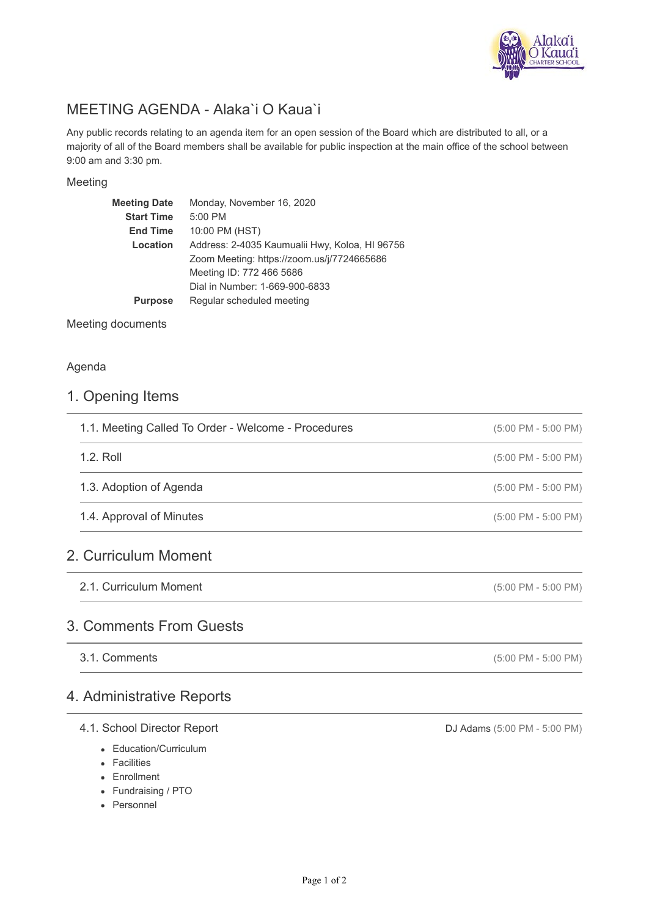

# MEETING AGENDA - Alaka`i O Kaua`i

Any public records relating to an agenda item for an open session of the Board which are distributed to all, or a majority of all of the Board members shall be available for public inspection at the main office of the school between 9:00 am and 3:30 pm.

#### Meeting

| Meeting Date      | Monday, November 16, 2020                      |
|-------------------|------------------------------------------------|
| <b>Start Time</b> | 5:00 PM                                        |
| <b>End Time</b>   | 10:00 PM (HST)                                 |
| Location          | Address: 2-4035 Kaumualii Hwy, Koloa, HI 96756 |
|                   | Zoom Meeting: https://zoom.us/j/7724665686     |
|                   | Meeting ID: 772 466 5686                       |
|                   | Dial in Number: 1-669-900-6833                 |
| <b>Purpose</b>    | Regular scheduled meeting                      |
|                   |                                                |

Meeting documents

#### Agenda

# 1. Opening Items

| 1.1. Meeting Called To Order - Welcome - Procedures | $(5:00 \text{ PM} - 5:00 \text{ PM})$ |
|-----------------------------------------------------|---------------------------------------|
| $1.2.$ Roll                                         | $(5:00 \text{ PM} - 5:00 \text{ PM})$ |
| 1.3. Adoption of Agenda                             | $(5:00 \text{ PM} - 5:00 \text{ PM})$ |
| 1.4. Approval of Minutes                            | $(5:00 \text{ PM} - 5:00 \text{ PM})$ |
| 2. Curriculum Moment                                |                                       |

2.1. Curriculum Moment

# 3. Comments From Guests

3.1. Comments

# 4. Administrative Reports

### 4.1. School Director Report

- Education/Curriculum
- Facilities
- Enrollment
- Fundraising / PTO
- Personnel

DJ Adams (5:00 PM - 5:00 PM)

(5:00 PM - 5:00 PM)

(5:00 PM - 5:00 PM)